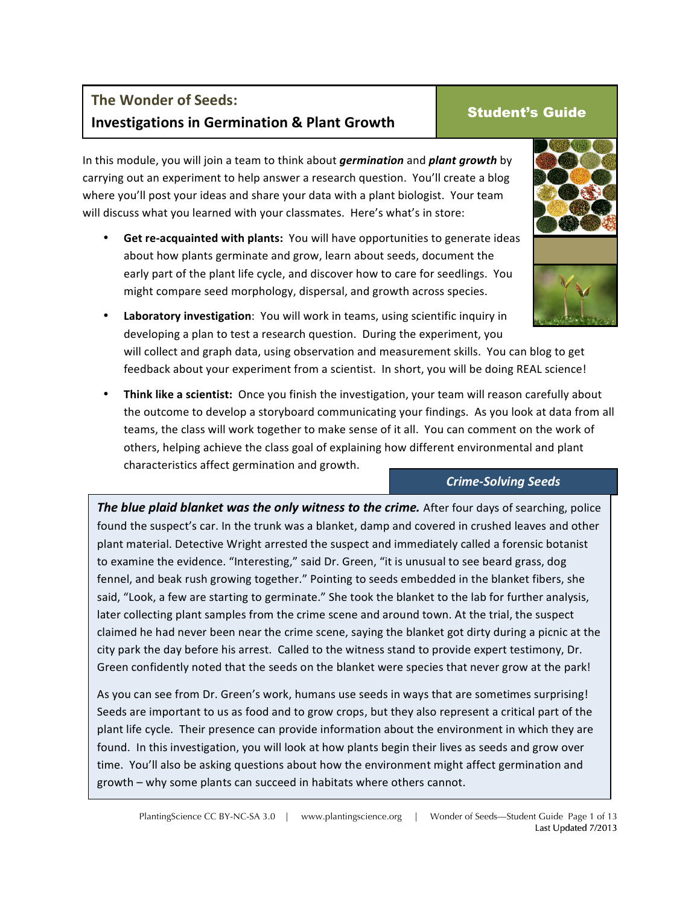# **The Wonder of Seeds: Investigations in Germination & Plant Growth Student's Guide**

In this module, you will join a team to think about *germination* and *plant growth* by carrying out an experiment to help answer a research question. You'll create a blog where you'll post your ideas and share your data with a plant biologist. Your team will discuss what you learned with your classmates. Here's what's in store:

- Get re-acquainted with plants: You will have opportunities to generate ideas about how plants germinate and grow, learn about seeds, document the early part of the plant life cycle, and discover how to care for seedlings. You might compare seed morphology, dispersal, and growth across species.
	- **Laboratory investigation**: You will work in teams, using scientific inquiry in developing a plan to test a research question. During the experiment, you will collect and graph data, using observation and measurement skills. You can blog to get feedback about your experiment from a scientist. In short, you will be doing REAL science!
- Think like a scientist: Once you finish the investigation, your team will reason carefully about the outcome to develop a storyboard communicating your findings. As you look at data from all teams, the class will work together to make sense of it all. You can comment on the work of others, helping achieve the class goal of explaining how different environmental and plant characteristics affect germination and growth.

#### *Crime-Solving Seeds*

**The blue plaid blanket was the only witness to the crime.** After four days of searching, police found the suspect's car. In the trunk was a blanket, damp and covered in crushed leaves and other plant material. Detective Wright arrested the suspect and immediately called a forensic botanist to examine the evidence. "Interesting," said Dr. Green, "it is unusual to see beard grass, dog fennel, and beak rush growing together." Pointing to seeds embedded in the blanket fibers, she said, "Look, a few are starting to germinate." She took the blanket to the lab for further analysis, later collecting plant samples from the crime scene and around town. At the trial, the suspect claimed he had never been near the crime scene, saying the blanket got dirty during a picnic at the city park the day before his arrest. Called to the witness stand to provide expert testimony, Dr. Green confidently noted that the seeds on the blanket were species that never grow at the park!

As you can see from Dr. Green's work, humans use seeds in ways that are sometimes surprising! Seeds are important to us as food and to grow crops, but they also represent a critical part of the plant life cycle. Their presence can provide information about the environment in which they are found. In this investigation, you will look at how plants begin their lives as seeds and grow over time. You'll also be asking questions about how the environment might affect germination and growth – why some plants can succeed in habitats where others cannot.



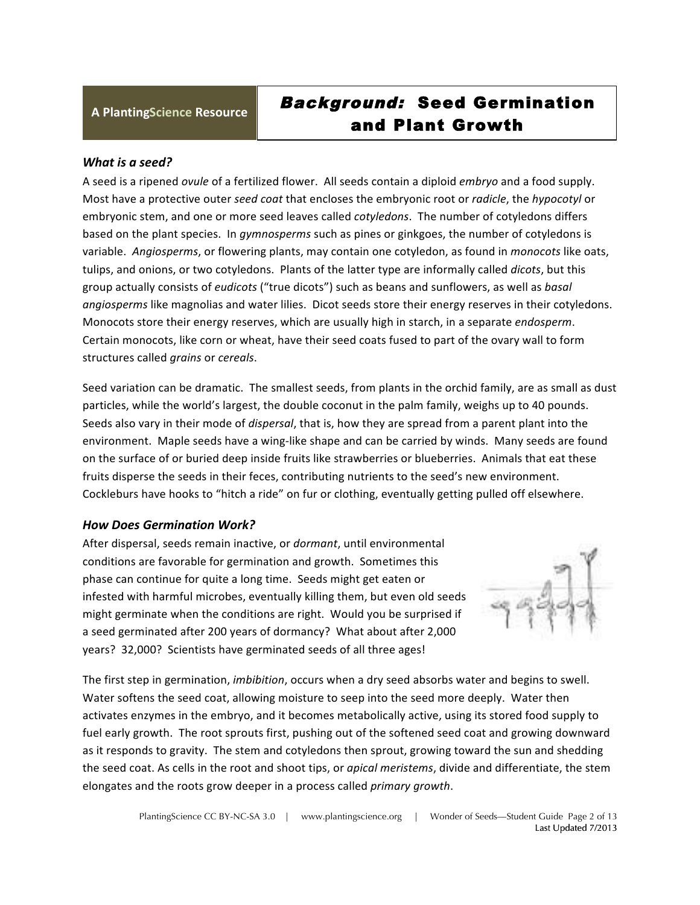# **<sup>A</sup> PlantingScience Resource** Background: Seed Germination and Plant Growth

#### What is a seed?

A seed is a ripened *ovule* of a fertilized flower. All seeds contain a diploid *embryo* and a food supply. Most have a protective outer *seed coat* that encloses the embryonic root or *radicle*, the *hypocotyl* or embryonic stem, and one or more seed leaves called *cotyledons*. The number of cotyledons differs based on the plant species. In *gymnosperms* such as pines or ginkgoes, the number of cotyledons is variable. Angiosperms, or flowering plants, may contain one cotyledon, as found in *monocots* like oats, tulips, and onions, or two cotyledons. Plants of the latter type are informally called *dicots*, but this group actually consists of *eudicots* ("true dicots") such as beans and sunflowers, as well as *basal angiosperms* like magnolias and water lilies. Dicot seeds store their energy reserves in their cotyledons. Monocots store their energy reserves, which are usually high in starch, in a separate *endosperm*. Certain monocots, like corn or wheat, have their seed coats fused to part of the ovary wall to form structures called *grains* or *cereals*.

Seed variation can be dramatic. The smallest seeds, from plants in the orchid family, are as small as dust particles, while the world's largest, the double coconut in the palm family, weighs up to 40 pounds. Seeds also vary in their mode of *dispersal*, that is, how they are spread from a parent plant into the environment. Maple seeds have a wing-like shape and can be carried by winds. Many seeds are found on the surface of or buried deep inside fruits like strawberries or blueberries. Animals that eat these fruits disperse the seeds in their feces, contributing nutrients to the seed's new environment. Cockleburs have hooks to "hitch a ride" on fur or clothing, eventually getting pulled off elsewhere.

#### *How Does Germination Work?*

After dispersal, seeds remain inactive, or *dormant*, until environmental conditions are favorable for germination and growth. Sometimes this phase can continue for quite a long time. Seeds might get eaten or infested with harmful microbes, eventually killing them, but even old seeds might germinate when the conditions are right. Would you be surprised if a seed germinated after 200 years of dormancy? What about after 2,000 years? 32,000? Scientists have germinated seeds of all three ages!



The first step in germination, *imbibition*, occurs when a dry seed absorbs water and begins to swell. Water softens the seed coat, allowing moisture to seep into the seed more deeply. Water then activates enzymes in the embryo, and it becomes metabolically active, using its stored food supply to fuel early growth. The root sprouts first, pushing out of the softened seed coat and growing downward as it responds to gravity. The stem and cotyledons then sprout, growing toward the sun and shedding the seed coat. As cells in the root and shoot tips, or *apical meristems*, divide and differentiate, the stem elongates and the roots grow deeper in a process called *primary growth*.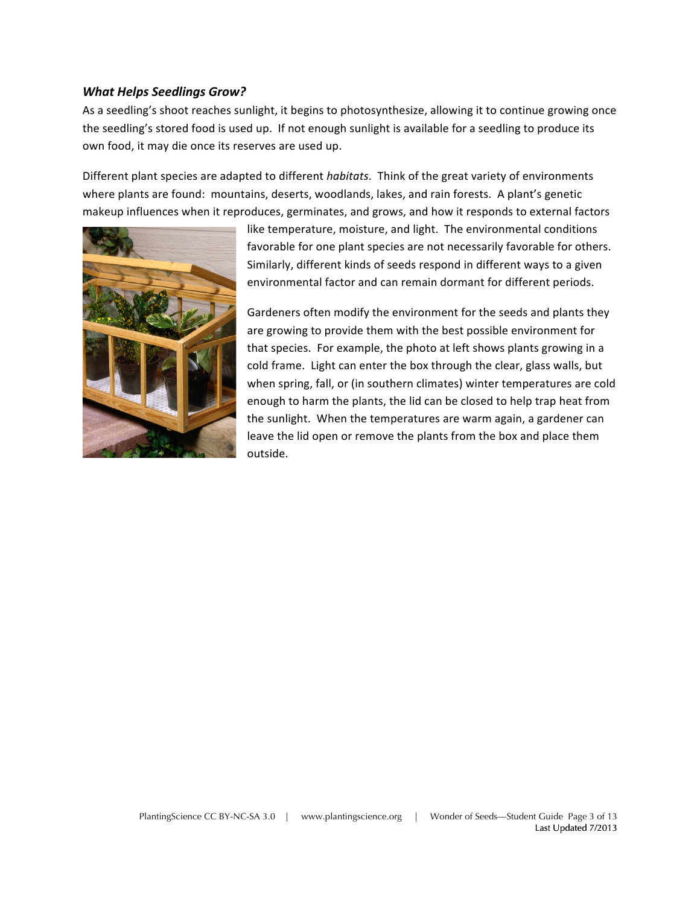#### *What Helps Seedlings Grow?*

As a seedling's shoot reaches sunlight, it begins to photosynthesize, allowing it to continue growing once the seedling's stored food is used up. If not enough sunlight is available for a seedling to produce its own food, it may die once its reserves are used up.

Different plant species are adapted to different *habitats*. Think of the great variety of environments where plants are found: mountains, deserts, woodlands, lakes, and rain forests. A plant's genetic makeup influences when it reproduces, germinates, and grows, and how it responds to external factors



like temperature, moisture, and light. The environmental conditions favorable for one plant species are not necessarily favorable for others. Similarly, different kinds of seeds respond in different ways to a given environmental factor and can remain dormant for different periods.

Gardeners often modify the environment for the seeds and plants they are growing to provide them with the best possible environment for that species. For example, the photo at left shows plants growing in a cold frame. Light can enter the box through the clear, glass walls, but when spring, fall, or (in southern climates) winter temperatures are cold enough to harm the plants, the lid can be closed to help trap heat from the sunlight. When the temperatures are warm again, a gardener can leave the lid open or remove the plants from the box and place them outside.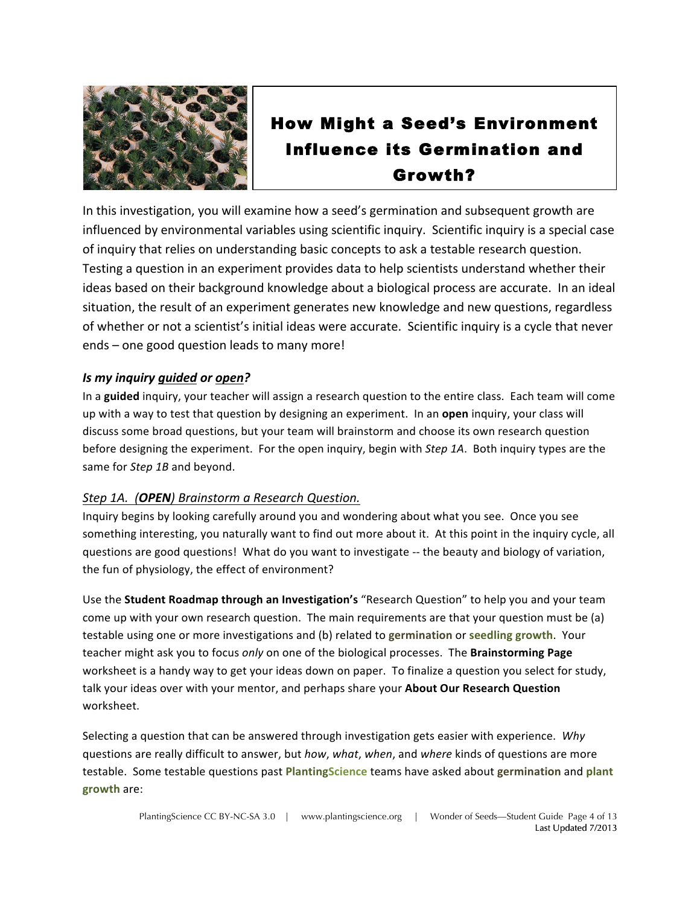

# How Might a Seed's Environment Influence its Germination and Growth?

In this investigation, you will examine how a seed's germination and subsequent growth are influenced by environmental variables using scientific inquiry. Scientific inquiry is a special case of inquiry that relies on understanding basic concepts to ask a testable research question. Testing a question in an experiment provides data to help scientists understand whether their ideas based on their background knowledge about a biological process are accurate. In an ideal situation, the result of an experiment generates new knowledge and new questions, regardless of whether or not a scientist's initial ideas were accurate. Scientific inquiry is a cycle that never ends – one good question leads to many more!

#### *Is* my inquiry guided or open?

In a guided inquiry, your teacher will assign a research question to the entire class. Each team will come up with a way to test that question by designing an experiment. In an **open** inquiry, your class will discuss some broad questions, but your team will brainstorm and choose its own research question before designing the experiment. For the open inquiry, begin with *Step 1A*. Both inquiry types are the same for *Step* 1B and beyond.

#### *Step 1A.* (**OPEN**) *Brainstorm* a Research Question.

Inquiry begins by looking carefully around you and wondering about what you see. Once you see something interesting, you naturally want to find out more about it. At this point in the inquiry cycle, all questions are good questions! What do you want to investigate -- the beauty and biology of variation, the fun of physiology, the effect of environment?

Use the **Student Roadmap through an Investigation's** "Research Question" to help you and your team come up with your own research question. The main requirements are that your question must be (a) testable using one or more investigations and (b) related to germination or seedling growth. Your teacher might ask you to focus *only* on one of the biological processes. The **Brainstorming Page** worksheet is a handy way to get your ideas down on paper. To finalize a question you select for study, talk your ideas over with your mentor, and perhaps share your About Our Research Question worksheet.

Selecting a question that can be answered through investigation gets easier with experience. Why questions are really difficult to answer, but *how, what, when*, and where kinds of questions are more testable. Some testable questions past **PlantingScience** teams have asked about germination and plant **growth** are: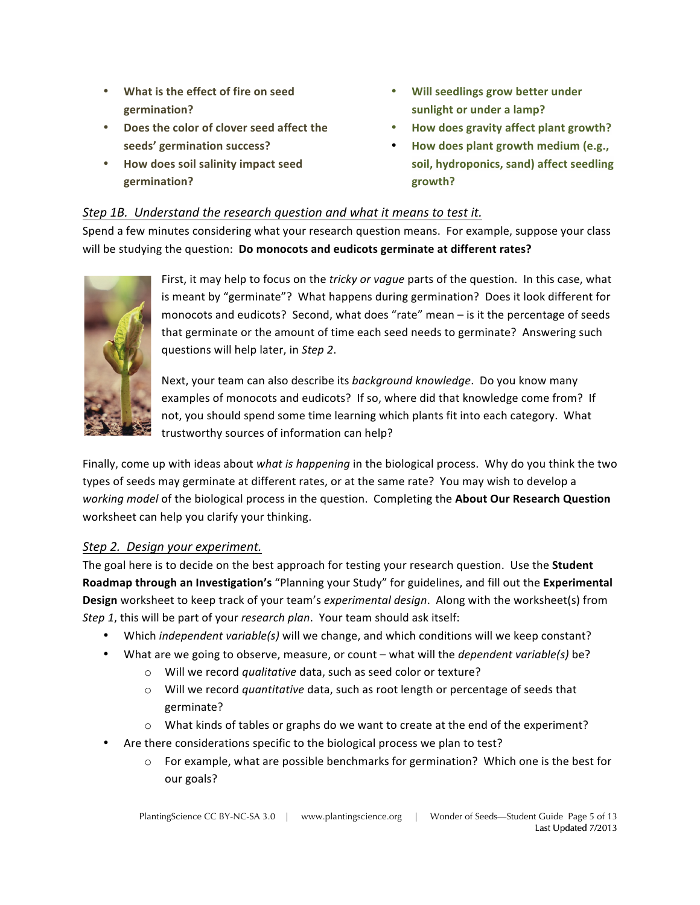- What is the effect of fire on seed **germination?**
- **Does the color of clover seed affect the** seeds' germination success?
- **How does soil salinity impact seed germination?**
- Will seedlings grow better under sunlight or under a lamp?
- **How does gravity affect plant growth?**
- How does plant growth medium (e.g., soil, hydroponics, sand) affect seedling **growth?**

#### *Step 1B.* Understand the research question and what it means to test it.

Spend a few minutes considering what your research question means. For example, suppose your class will be studying the question: **Do monocots and eudicots germinate at different rates?** 



First, it may help to focus on the *tricky or vague* parts of the question. In this case, what is meant by "germinate"? What happens during germination? Does it look different for monocots and eudicots? Second, what does "rate" mean - is it the percentage of seeds that germinate or the amount of time each seed needs to germinate? Answering such questions will help later, in *Step 2*.

Next, your team can also describe its *background knowledge*. Do you know many examples of monocots and eudicots? If so, where did that knowledge come from? If not, you should spend some time learning which plants fit into each category. What trustworthy sources of information can help?

Finally, come up with ideas about *what is happening* in the biological process. Why do you think the two types of seeds may germinate at different rates, or at the same rate? You may wish to develop a *working model* of the biological process in the question. Completing the About Our Research Question worksheet can help you clarify your thinking.

#### *Step 2. Design your experiment.*

The goal here is to decide on the best approach for testing your research question. Use the **Student Roadmap through an Investigation's** "Planning your Study" for guidelines, and fill out the Experimental **Design** worksheet to keep track of your team's *experimental design*. Along with the worksheet(s) from *Step 1*, this will be part of your *research plan*. Your team should ask itself:

- Which *independent variable(s)* will we change, and which conditions will we keep constant?
- What are we going to observe, measure, or count what will the *dependent variable(s)* be?
	- o Will we record *qualitative* data, such as seed color or texture?
	- o Will we record *quantitative* data, such as root length or percentage of seeds that germinate?
	- $\circ$  What kinds of tables or graphs do we want to create at the end of the experiment?
- Are there considerations specific to the biological process we plan to test?
	- $\circ$  For example, what are possible benchmarks for germination? Which one is the best for our goals?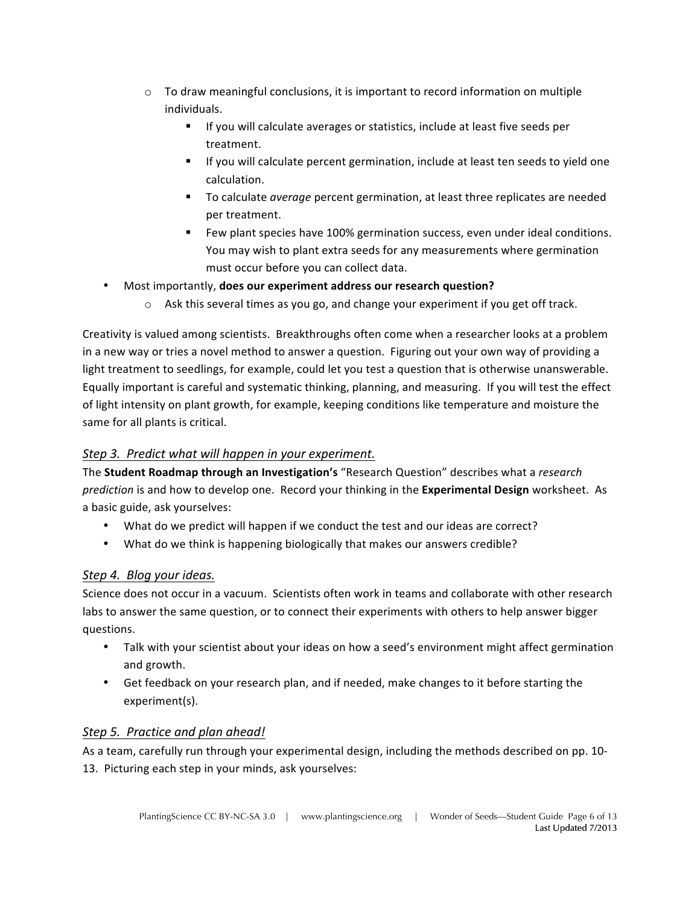- $\circ$  To draw meaningful conclusions, it is important to record information on multiple individuals.
	- If you will calculate averages or statistics, include at least five seeds per treatment.
	- If you will calculate percent germination, include at least ten seeds to yield one calculation.
	- To calculate *average* percent germination, at least three replicates are needed per treatment.
	- Few plant species have 100% germination success, even under ideal conditions. You may wish to plant extra seeds for any measurements where germination must occur before you can collect data.
- Most importantly, **does our experiment address our research question?** 
	- $\circ$  Ask this several times as you go, and change your experiment if you get off track.

Creativity is valued among scientists. Breakthroughs often come when a researcher looks at a problem in a new way or tries a novel method to answer a question. Figuring out your own way of providing a light treatment to seedlings, for example, could let you test a question that is otherwise unanswerable. Equally important is careful and systematic thinking, planning, and measuring. If you will test the effect of light intensity on plant growth, for example, keeping conditions like temperature and moisture the same for all plants is critical.

#### *Step 3. Predict what will happen in your experiment.*

The **Student Roadmap through an Investigation's** "Research Question" describes what a *research prediction* is and how to develop one. Record your thinking in the **Experimental Design** worksheet. As a basic guide, ask yourselves:

- What do we predict will happen if we conduct the test and our ideas are correct?
- What do we think is happening biologically that makes our answers credible?

### *Step 4. Blog your ideas.*

Science does not occur in a vacuum. Scientists often work in teams and collaborate with other research labs to answer the same question, or to connect their experiments with others to help answer bigger questions. 

- Talk with your scientist about your ideas on how a seed's environment might affect germination and growth.
- Get feedback on your research plan, and if needed, make changes to it before starting the experiment(s).

### *Step 5. Practice and plan ahead!*

As a team, carefully run through your experimental design, including the methods described on pp. 10-13. Picturing each step in your minds, ask yourselves: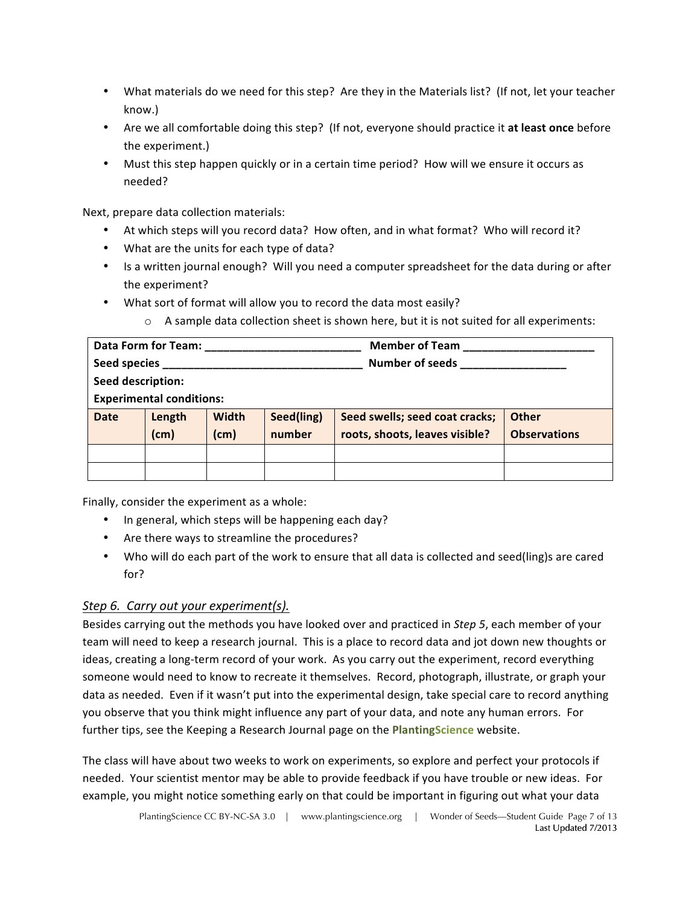- What materials do we need for this step? Are they in the Materials list? (If not, let your teacher know.)
- Are we all comfortable doing this step? (If not, everyone should practice it at least once before the experiment.)
- Must this step happen quickly or in a certain time period? How will we ensure it occurs as needed?

Next, prepare data collection materials:

- At which steps will you record data? How often, and in what format? Who will record it?
- What are the units for each type of data?
- Is a written journal enough? Will you need a computer spreadsheet for the data during or after the experiment?
- What sort of format will allow you to record the data most easily?
	- $\circ$  A sample data collection sheet is shown here, but it is not suited for all experiments:

| <b>Data Form for Team:</b>      |        |              |            | <b>Member of Team</b>          |                     |
|---------------------------------|--------|--------------|------------|--------------------------------|---------------------|
| <b>Seed species</b>             |        |              |            | <b>Number of seeds</b>         |                     |
| Seed description:               |        |              |            |                                |                     |
| <b>Experimental conditions:</b> |        |              |            |                                |                     |
| <b>Date</b>                     | Length | <b>Width</b> | Seed(ling) | Seed swells; seed coat cracks; | <b>Other</b>        |
|                                 | (cm)   | (cm)         | number     | roots, shoots, leaves visible? | <b>Observations</b> |
|                                 |        |              |            |                                |                     |
|                                 |        |              |            |                                |                     |

Finally, consider the experiment as a whole:

- In general, which steps will be happening each day?
- Are there ways to streamline the procedures?
- Who will do each part of the work to ensure that all data is collected and seed(ling)s are cared for?

#### *Step 6. Carry out your experiment(s).*

Besides carrying out the methods you have looked over and practiced in *Step 5*, each member of your team will need to keep a research journal. This is a place to record data and jot down new thoughts or ideas, creating a long-term record of your work. As you carry out the experiment, record everything someone would need to know to recreate it themselves. Record, photograph, illustrate, or graph your data as needed. Even if it wasn't put into the experimental design, take special care to record anything you observe that you think might influence any part of your data, and note any human errors. For further tips, see the Keeping a Research Journal page on the PlantingScience website.

The class will have about two weeks to work on experiments, so explore and perfect your protocols if needed. Your scientist mentor may be able to provide feedback if you have trouble or new ideas. For example, you might notice something early on that could be important in figuring out what your data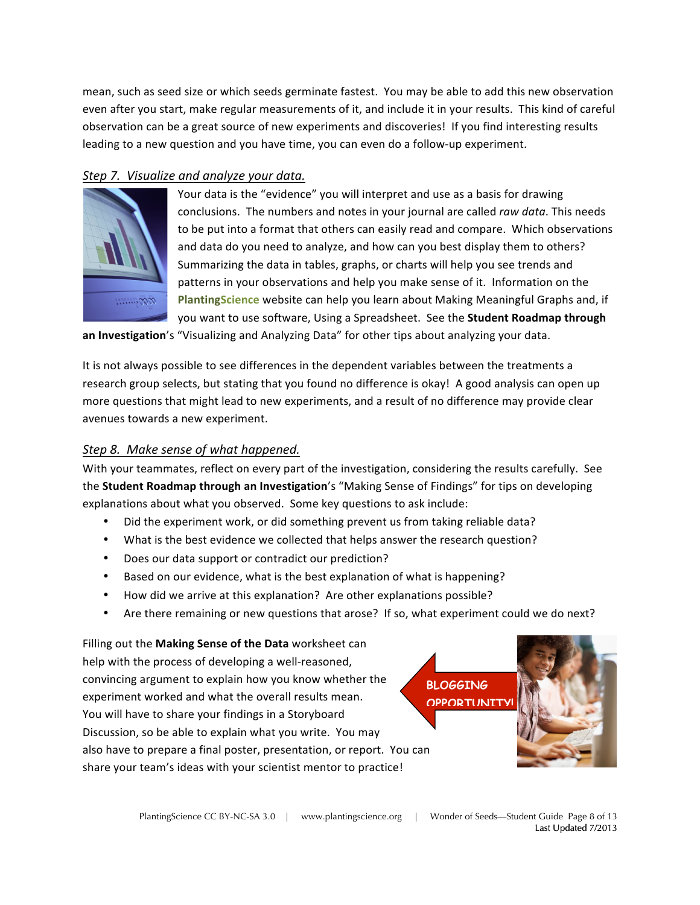mean, such as seed size or which seeds germinate fastest. You may be able to add this new observation even after you start, make regular measurements of it, and include it in your results. This kind of careful observation can be a great source of new experiments and discoveries! If you find interesting results leading to a new question and you have time, you can even do a follow-up experiment.

#### *Step 7. Visualize and analyze your data.*



Your data is the "evidence" you will interpret and use as a basis for drawing conclusions. The numbers and notes in your journal are called raw data. This needs to be put into a format that others can easily read and compare. Which observations and data do you need to analyze, and how can you best display them to others? Summarizing the data in tables, graphs, or charts will help you see trends and patterns in your observations and help you make sense of it. Information on the PlantingScience website can help you learn about Making Meaningful Graphs and, if you want to use software, Using a Spreadsheet. See the **Student Roadmap through** 

an Investigation's "Visualizing and Analyzing Data" for other tips about analyzing your data.

It is not always possible to see differences in the dependent variables between the treatments a research group selects, but stating that you found no difference is okay! A good analysis can open up more questions that might lead to new experiments, and a result of no difference may provide clear avenues towards a new experiment.

#### *Step 8. Make sense of what happened.*

With your teammates, reflect on every part of the investigation, considering the results carefully. See the **Student Roadmap through an Investigation's** "Making Sense of Findings" for tips on developing explanations about what you observed. Some key questions to ask include:

- Did the experiment work, or did something prevent us from taking reliable data?
- What is the best evidence we collected that helps answer the research question?
- Does our data support or contradict our prediction?
- Based on our evidence, what is the best explanation of what is happening?
- How did we arrive at this explanation? Are other explanations possible?
- Are there remaining or new questions that arose? If so, what experiment could we do next?

Filling out the Making Sense of the Data worksheet can help with the process of developing a well-reasoned, convincing argument to explain how you know whether the experiment worked and what the overall results mean. You will have to share your findings in a Storyboard Discussion, so be able to explain what you write. You may also have to prepare a final poster, presentation, or report. You can share your team's ideas with your scientist mentor to practice!

**BLOGGING OPPORTUNITY**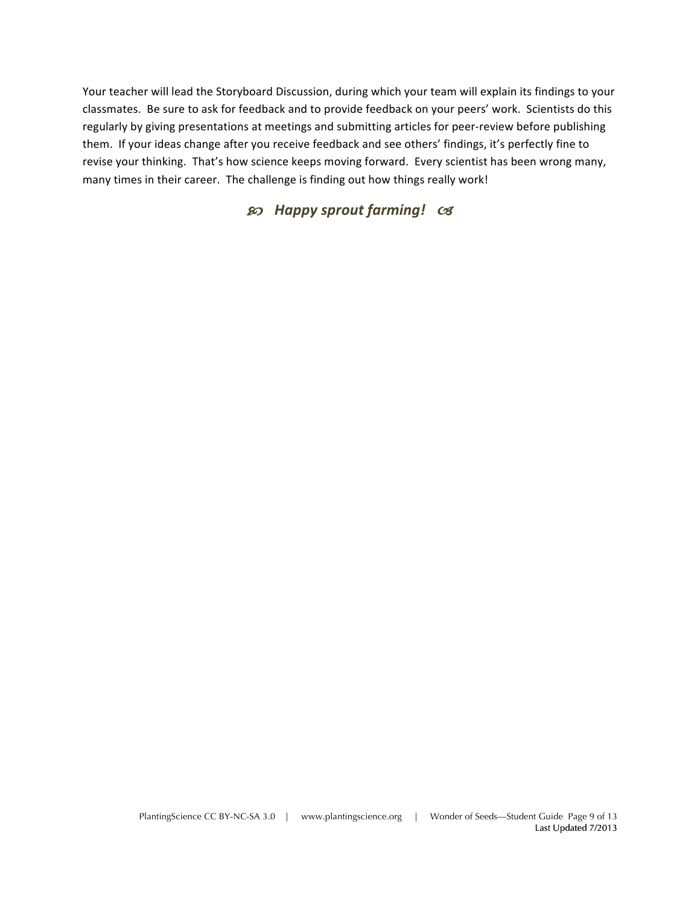Your teacher will lead the Storyboard Discussion, during which your team will explain its findings to your classmates. Be sure to ask for feedback and to provide feedback on your peers' work. Scientists do this regularly by giving presentations at meetings and submitting articles for peer-review before publishing them. If your ideas change after you receive feedback and see others' findings, it's perfectly fine to revise your thinking. That's how science keeps moving forward. Every scientist has been wrong many, many times in their career. The challenge is finding out how things really work!

## $\mathcal{F}$  Happy sprout farming!  $\mathcal{C}$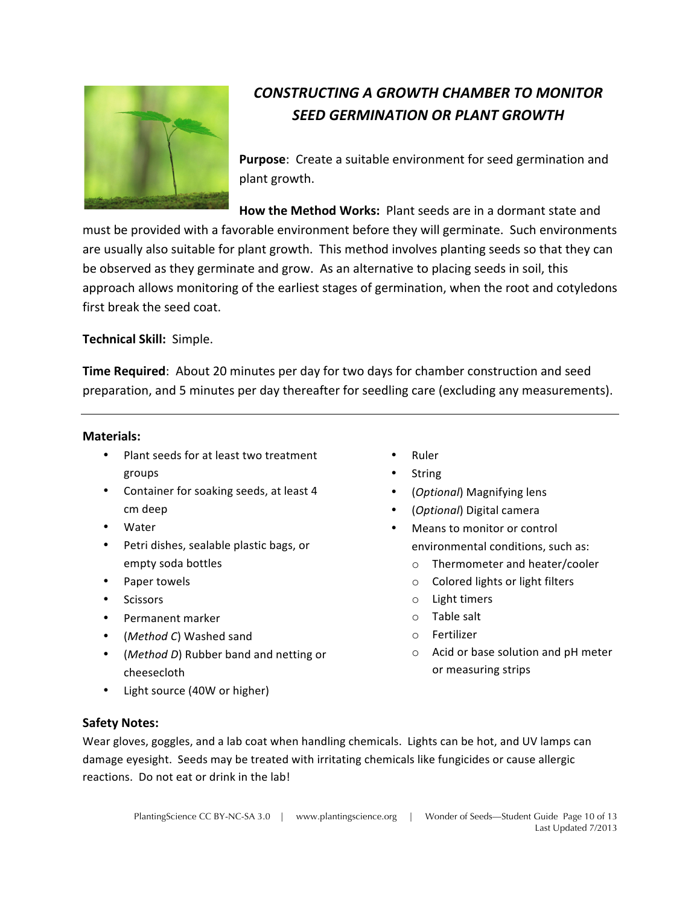

# *CONSTRUCTING A GROWTH CHAMBER TO MONITOR SEED GERMINATION OR PLANT GROWTH*

**Purpose:** Create a suitable environment for seed germination and plant growth.

**How the Method Works:** Plant seeds are in a dormant state and must be provided with a favorable environment before they will germinate. Such environments are usually also suitable for plant growth. This method involves planting seeds so that they can be observed as they germinate and grow. As an alternative to placing seeds in soil, this approach allows monitoring of the earliest stages of germination, when the root and cotyledons first break the seed coat.

**Technical Skill: Simple.** 

**Time Required:** About 20 minutes per day for two days for chamber construction and seed preparation, and 5 minutes per day thereafter for seedling care (excluding any measurements).

#### **Materials:**

- Plant seeds for at least two treatment groups
- Container for soaking seeds, at least 4 cm deep
- Water
- Petri dishes, sealable plastic bags, or empty soda bottles
- Paper towels
- Scissors
- Permanent marker
- (*Method C*) Washed sand
- (*Method D*) Rubber band and netting or cheesecloth

**String** (Optional) Magnifying lens

• Ruler

- (*Optional*) Digital camera
- Means to monitor or control environmental conditions, such as:
	- o Thermometer and heater/cooler
	- $\circ$  Colored lights or light filters
	- $\circ$  Light timers
	- $\circ$  Table salt
	- o Fertilizer
	- $\circ$  Acid or base solution and pH meter or measuring strips

• Light source (40W or higher)

#### **Safety Notes:**

Wear gloves, goggles, and a lab coat when handling chemicals. Lights can be hot, and UV lamps can damage eyesight. Seeds may be treated with irritating chemicals like fungicides or cause allergic reactions. Do not eat or drink in the lab!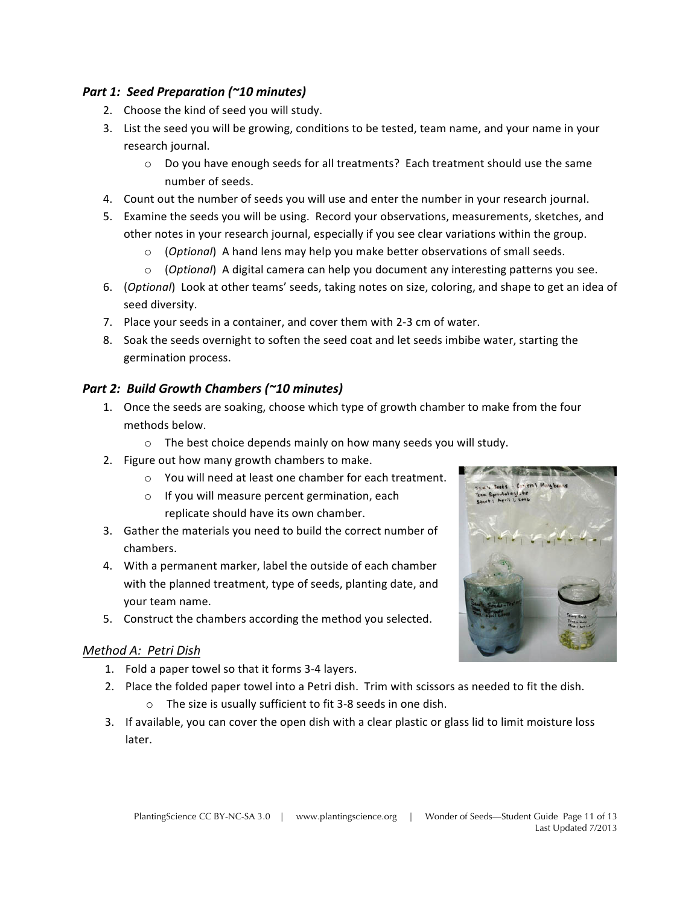#### *Part 1: Seed Preparation (~10 minutes)*

- 2. Choose the kind of seed you will study.
- 3. List the seed you will be growing, conditions to be tested, team name, and your name in your research journal.
	- $\circ$  Do you have enough seeds for all treatments? Each treatment should use the same number of seeds.
- 4. Count out the number of seeds you will use and enter the number in your research journal.
- 5. Examine the seeds you will be using. Record your observations, measurements, sketches, and other notes in your research journal, especially if you see clear variations within the group.
	- o (Optional) A hand lens may help you make better observations of small seeds.
	- (*Optional*) A digital camera can help you document any interesting patterns you see.
- 6. (*Optional*) Look at other teams' seeds, taking notes on size, coloring, and shape to get an idea of seed diversity.
- 7. Place your seeds in a container, and cover them with 2-3 cm of water.
- 8. Soak the seeds overnight to soften the seed coat and let seeds imbibe water, starting the germination process.

### Part 2: Build Growth Chambers (~10 minutes)

- 1. Once the seeds are soaking, choose which type of growth chamber to make from the four methods below.
	- $\circ$  The best choice depends mainly on how many seeds you will study.
- 2. Figure out how many growth chambers to make.
	- o You will need at least one chamber for each treatment.
	- o If you will measure percent germination, each replicate should have its own chamber.
- 3. Gather the materials you need to build the correct number of chambers.
- 4. With a permanent marker, label the outside of each chamber with the planned treatment, type of seeds, planting date, and your team name.
- 5. Construct the chambers according the method you selected.

#### *Method A: Petri Dish*

- 1. Fold a paper towel so that it forms 3-4 layers.
- 2. Place the folded paper towel into a Petri dish. Trim with scissors as needed to fit the dish.
	- $\circ$  The size is usually sufficient to fit 3-8 seeds in one dish.
- 3. If available, you can cover the open dish with a clear plastic or glass lid to limit moisture loss later.

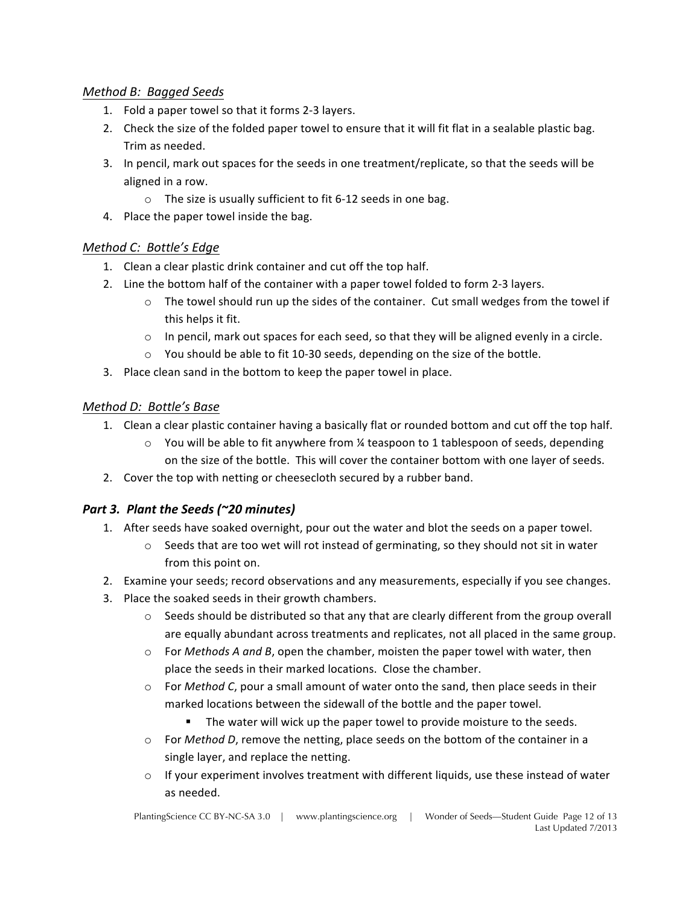#### *Method B: Bagged Seeds*

- 1. Fold a paper towel so that it forms 2-3 layers.
- 2. Check the size of the folded paper towel to ensure that it will fit flat in a sealable plastic bag. Trim as needed.
- 3. In pencil, mark out spaces for the seeds in one treatment/replicate, so that the seeds will be aligned in a row.
	- $\circ$  The size is usually sufficient to fit 6-12 seeds in one bag.
- 4. Place the paper towel inside the bag.

#### *Method C: Bottle's Edge*

- 1. Clean a clear plastic drink container and cut off the top half.
- 2. Line the bottom half of the container with a paper towel folded to form 2-3 layers.
	- $\circ$  The towel should run up the sides of the container. Cut small wedges from the towel if this helps it fit.
	- $\circ$  In pencil, mark out spaces for each seed, so that they will be aligned evenly in a circle.
	- $\circ$  You should be able to fit 10-30 seeds, depending on the size of the bottle.
- 3. Place clean sand in the bottom to keep the paper towel in place.

#### *Method D: Bottle's Base*

- 1. Clean a clear plastic container having a basically flat or rounded bottom and cut off the top half.
	- $\circ$  You will be able to fit anywhere from % teaspoon to 1 tablespoon of seeds, depending on the size of the bottle. This will cover the container bottom with one layer of seeds.
- 2. Cover the top with netting or cheesecloth secured by a rubber band.

### *Part 3. Plant the Seeds (~20 minutes)*

- 1. After seeds have soaked overnight, pour out the water and blot the seeds on a paper towel.
	- $\circ$  Seeds that are too wet will rot instead of germinating, so they should not sit in water from this point on.
- 2. Examine your seeds; record observations and any measurements, especially if you see changes.
- 3. Place the soaked seeds in their growth chambers.
	- $\circ$  Seeds should be distributed so that any that are clearly different from the group overall are equally abundant across treatments and replicates, not all placed in the same group.
	- $\circ$  For *Methods A and B*, open the chamber, moisten the paper towel with water, then place the seeds in their marked locations. Close the chamber.
	- $\circ$  For *Method C*, pour a small amount of water onto the sand, then place seeds in their marked locations between the sidewall of the bottle and the paper towel.
		- The water will wick up the paper towel to provide moisture to the seeds.
	- o For *Method D*, remove the netting, place seeds on the bottom of the container in a single layer, and replace the netting.
	- $\circ$  If your experiment involves treatment with different liquids, use these instead of water as needed.